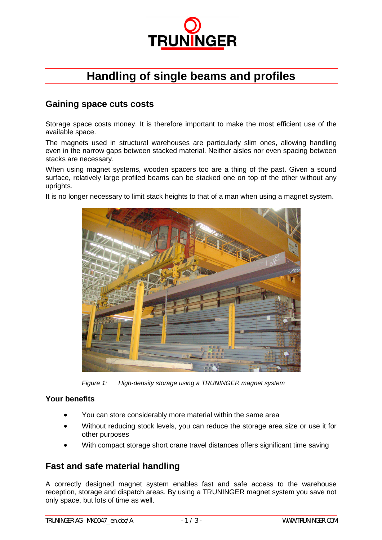

# **Handling of single beams and profiles**

## **Gaining space cuts costs**

Storage space costs money. It is therefore important to make the most efficient use of the available space.

The magnets used in structural warehouses are particularly slim ones, allowing handling even in the narrow gaps between stacked material. Neither aisles nor even spacing between stacks are necessary.

When using magnet systems, wooden spacers too are a thing of the past. Given a sound surface, relatively large profiled beams can be stacked one on top of the other without any uprights.

It is no longer necessary to limit stack heights to that of a man when using a magnet system.



*Figure 1: High-density storage using a TRUNINGER magnet system*

#### **Your benefits**

- You can store considerably more material within the same area
- Without reducing stock levels, you can reduce the storage area size or use it for other purposes
- With compact storage short crane travel distances offers significant time saving

## **Fast and safe material handling**

A correctly designed magnet system enables fast and safe access to the warehouse reception, storage and dispatch areas. By using a TRUNINGER magnet system you save not only space, but lots of time as well.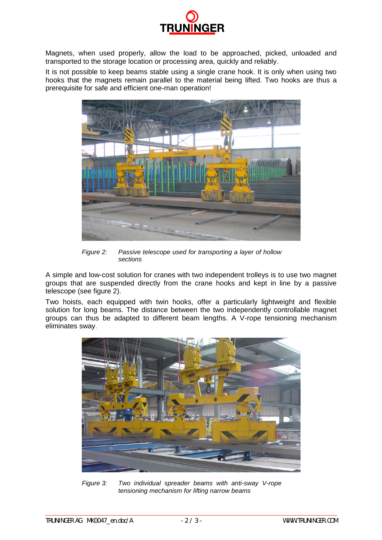

Magnets, when used properly, allow the load to be approached, picked, unloaded and transported to the storage location or processing area, quickly and reliably.

It is not possible to keep beams stable using a single crane hook. It is only when using two hooks that the magnets remain parallel to the material being lifted. Two hooks are thus a prerequisite for safe and efficient one-man operation!



*Figure 2: Passive telescope used for transporting a layer of hollow sections*

A simple and low-cost solution for cranes with two independent trolleys is to use two magnet groups that are suspended directly from the crane hooks and kept in line by a passive telescope (see figure 2).

Two hoists, each equipped with twin hooks, offer a particularly lightweight and flexible solution for long beams. The distance between the two independently controllable magnet groups can thus be adapted to different beam lengths. A V-rope tensioning mechanism eliminates sway.



*Figure 3: Two individual spreader beams with anti-sway V-rope tensioning mechanism for lifting narrow beams*